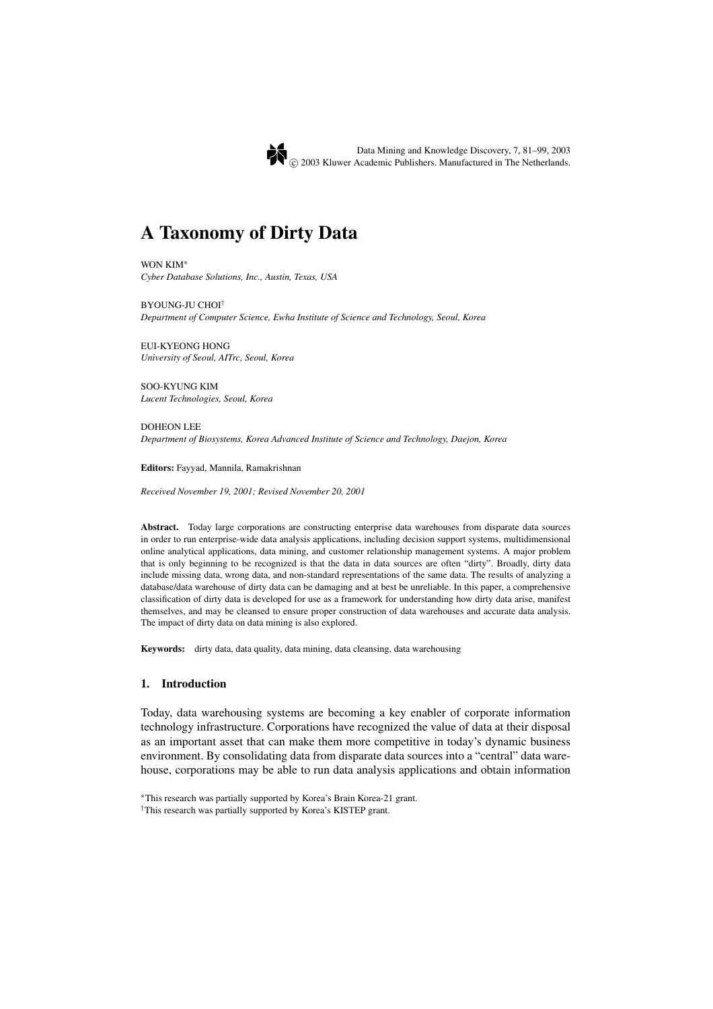# **A Taxonomy of Dirty Data**

WON KIM<sup>\*</sup> *Cyber Database Solutions, Inc., Austin, Texas, USA*

BYOUNG-JU CHOI† *Department of Computer Science, Ewha Institute of Science and Technology, Seoul, Korea*

EUI-KYEONG HONG *University of Seoul, AITrc, Seoul, Korea*

SOO-KYUNG KIM *Lucent Technologies, Seoul, Korea*

DOHEON LEE *Department of Biosystems, Korea Advanced Institute of Science and Technology, Daejon, Korea*

**Editors:** Fayyad, Mannila, Ramakrishnan

*Received November 19, 2001; Revised November 20, 2001*

**Abstract.** Today large corporations are constructing enterprise data warehouses from disparate data sources in order to run enterprise-wide data analysis applications, including decision support systems, multidimensional online analytical applications, data mining, and customer relationship management systems. A major problem that is only beginning to be recognized is that the data in data sources are often "dirty". Broadly, dirty data include missing data, wrong data, and non-standard representations of the same data. The results of analyzing a database/data warehouse of dirty data can be damaging and at best be unreliable. In this paper, a comprehensive classification of dirty data is developed for use as a framework for understanding how dirty data arise, manifest themselves, and may be cleansed to ensure proper construction of data warehouses and accurate data analysis. The impact of dirty data on data mining is also explored.

**Keywords:** dirty data, data quality, data mining, data cleansing, data warehousing

#### **1. Introduction**

Today, data warehousing systems are becoming a key enabler of corporate information technology infrastructure. Corporations have recognized the value of data at their disposal as an important asset that can make them more competitive in today's dynamic business environment. By consolidating data from disparate data sources into a "central" data warehouse, corporations may be able to run data analysis applications and obtain information

<sup>∗</sup>This research was partially supported by Korea's Brain Korea-21 grant. †This research was partially supported by Korea's KISTEP grant.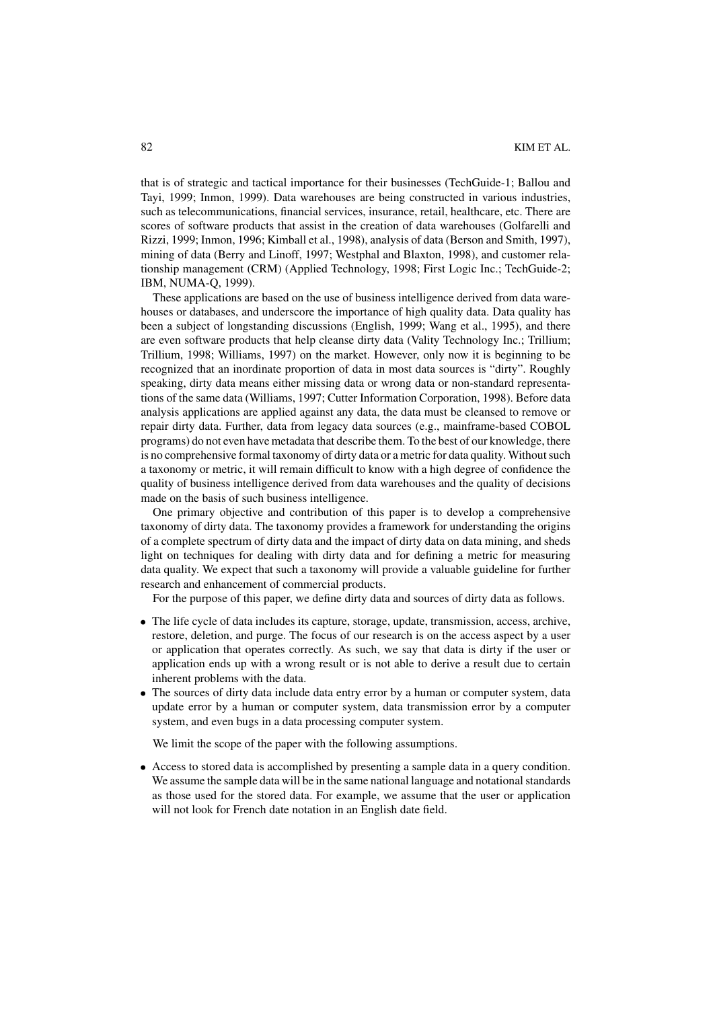that is of strategic and tactical importance for their businesses (TechGuide-1; Ballou and Tayi, 1999; Inmon, 1999). Data warehouses are being constructed in various industries, such as telecommunications, financial services, insurance, retail, healthcare, etc. There are scores of software products that assist in the creation of data warehouses (Golfarelli and Rizzi, 1999; Inmon, 1996; Kimball et al., 1998), analysis of data (Berson and Smith, 1997), mining of data (Berry and Linoff, 1997; Westphal and Blaxton, 1998), and customer relationship management (CRM) (Applied Technology, 1998; First Logic Inc.; TechGuide-2; IBM, NUMA-Q, 1999).

These applications are based on the use of business intelligence derived from data warehouses or databases, and underscore the importance of high quality data. Data quality has been a subject of longstanding discussions (English, 1999; Wang et al., 1995), and there are even software products that help cleanse dirty data (Vality Technology Inc.; Trillium; Trillium, 1998; Williams, 1997) on the market. However, only now it is beginning to be recognized that an inordinate proportion of data in most data sources is "dirty". Roughly speaking, dirty data means either missing data or wrong data or non-standard representations of the same data (Williams, 1997; Cutter Information Corporation, 1998). Before data analysis applications are applied against any data, the data must be cleansed to remove or repair dirty data. Further, data from legacy data sources (e.g., mainframe-based COBOL programs) do not even have metadata that describe them. To the best of our knowledge, there is no comprehensive formal taxonomy of dirty data or a metric for data quality. Without such a taxonomy or metric, it will remain difficult to know with a high degree of confidence the quality of business intelligence derived from data warehouses and the quality of decisions made on the basis of such business intelligence.

One primary objective and contribution of this paper is to develop a comprehensive taxonomy of dirty data. The taxonomy provides a framework for understanding the origins of a complete spectrum of dirty data and the impact of dirty data on data mining, and sheds light on techniques for dealing with dirty data and for defining a metric for measuring data quality. We expect that such a taxonomy will provide a valuable guideline for further research and enhancement of commercial products.

For the purpose of this paper, we define dirty data and sources of dirty data as follows.

- The life cycle of data includes its capture, storage, update, transmission, access, archive, restore, deletion, and purge. The focus of our research is on the access aspect by a user or application that operates correctly. As such, we say that data is dirty if the user or application ends up with a wrong result or is not able to derive a result due to certain inherent problems with the data.
- The sources of dirty data include data entry error by a human or computer system, data update error by a human or computer system, data transmission error by a computer system, and even bugs in a data processing computer system.

We limit the scope of the paper with the following assumptions.

• Access to stored data is accomplished by presenting a sample data in a query condition. We assume the sample data will be in the same national language and notational standards as those used for the stored data. For example, we assume that the user or application will not look for French date notation in an English date field.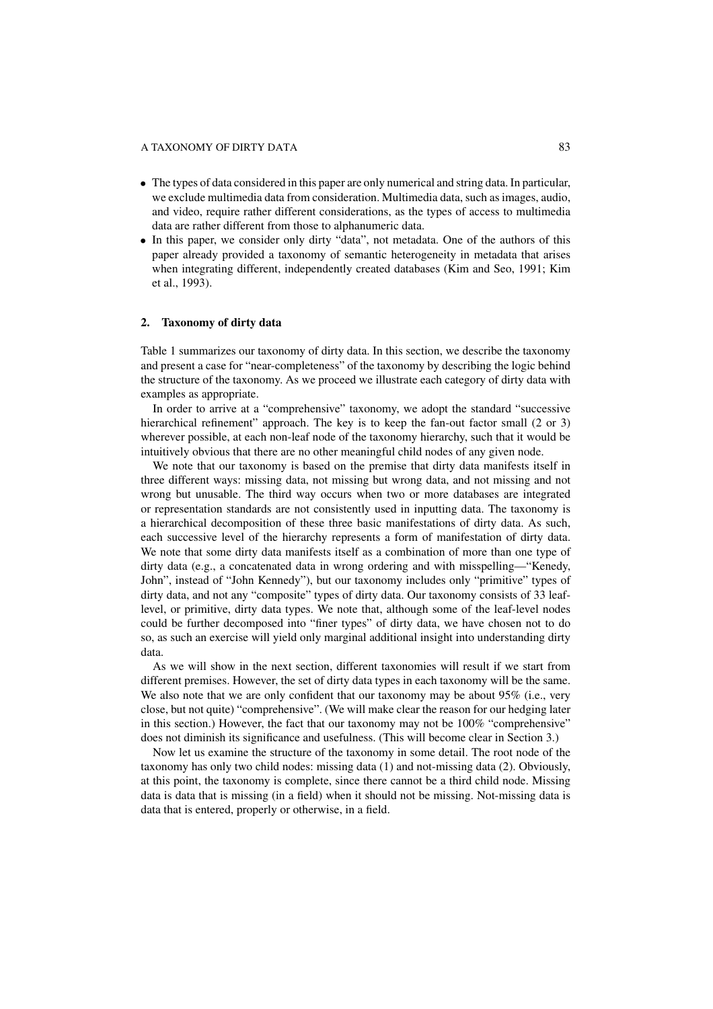- The types of data considered in this paper are only numerical and string data. In particular, we exclude multimedia data from consideration. Multimedia data, such as images, audio, and video, require rather different considerations, as the types of access to multimedia data are rather different from those to alphanumeric data.
- In this paper, we consider only dirty "data", not metadata. One of the authors of this paper already provided a taxonomy of semantic heterogeneity in metadata that arises when integrating different, independently created databases (Kim and Seo, 1991; Kim et al., 1993).

## **2. Taxonomy of dirty data**

Table 1 summarizes our taxonomy of dirty data. In this section, we describe the taxonomy and present a case for "near-completeness" of the taxonomy by describing the logic behind the structure of the taxonomy. As we proceed we illustrate each category of dirty data with examples as appropriate.

In order to arrive at a "comprehensive" taxonomy, we adopt the standard "successive hierarchical refinement" approach. The key is to keep the fan-out factor small (2 or 3) wherever possible, at each non-leaf node of the taxonomy hierarchy, such that it would be intuitively obvious that there are no other meaningful child nodes of any given node.

We note that our taxonomy is based on the premise that dirty data manifests itself in three different ways: missing data, not missing but wrong data, and not missing and not wrong but unusable. The third way occurs when two or more databases are integrated or representation standards are not consistently used in inputting data. The taxonomy is a hierarchical decomposition of these three basic manifestations of dirty data. As such, each successive level of the hierarchy represents a form of manifestation of dirty data. We note that some dirty data manifests itself as a combination of more than one type of dirty data (e.g., a concatenated data in wrong ordering and with misspelling—"Kenedy, John", instead of "John Kennedy"), but our taxonomy includes only "primitive" types of dirty data, and not any "composite" types of dirty data. Our taxonomy consists of 33 leaflevel, or primitive, dirty data types. We note that, although some of the leaf-level nodes could be further decomposed into "finer types" of dirty data, we have chosen not to do so, as such an exercise will yield only marginal additional insight into understanding dirty data.

As we will show in the next section, different taxonomies will result if we start from different premises. However, the set of dirty data types in each taxonomy will be the same. We also note that we are only confident that our taxonomy may be about 95% (i.e., very close, but not quite) "comprehensive". (We will make clear the reason for our hedging later in this section.) However, the fact that our taxonomy may not be 100% "comprehensive" does not diminish its significance and usefulness. (This will become clear in Section 3.)

Now let us examine the structure of the taxonomy in some detail. The root node of the taxonomy has only two child nodes: missing data (1) and not-missing data (2). Obviously, at this point, the taxonomy is complete, since there cannot be a third child node. Missing data is data that is missing (in a field) when it should not be missing. Not-missing data is data that is entered, properly or otherwise, in a field.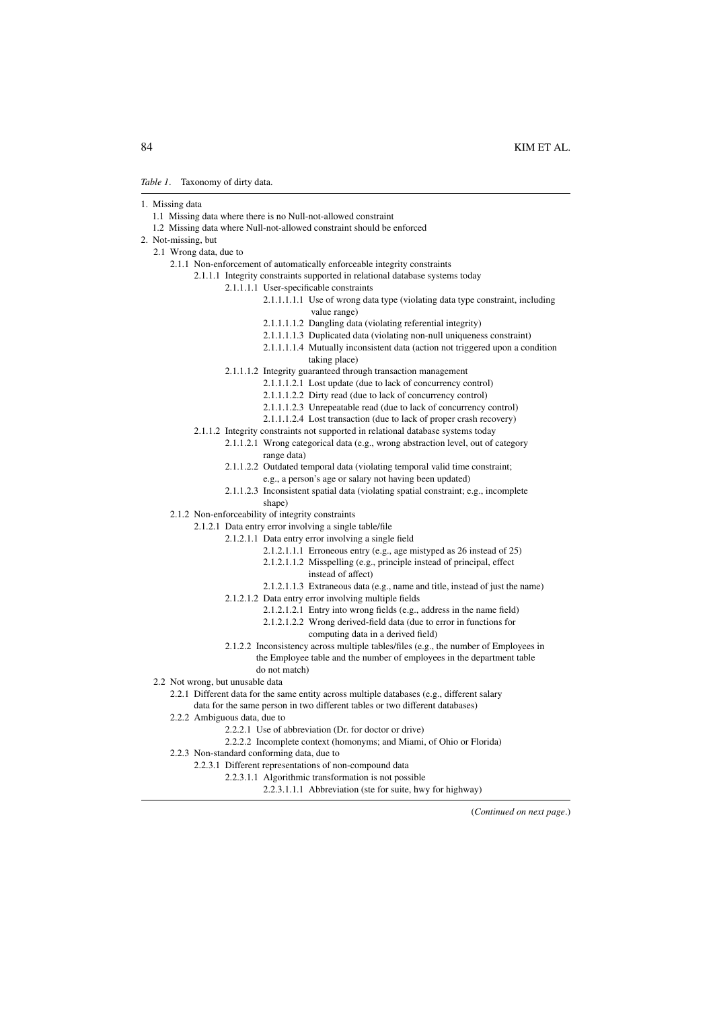- 1.1 Missing data where there is no Null-not-allowed constraint
- 1.2 Missing data where Null-not-allowed constraint should be enforced

2.1 Wrong data, due to

2.1.1 Non-enforcement of automatically enforceable integrity constraints

- 2.1.1.1 Integrity constraints supported in relational database systems today
	- 2.1.1.1.1 User-specificable constraints
		- 2.1.1.1.1.1 Use of wrong data type (violating data type constraint, including value range)
			- 2.1.1.1.1.2 Dangling data (violating referential integrity)
			- 2.1.1.1.1.3 Duplicated data (violating non-null uniqueness constraint)
			- 2.1.1.1.1.4 Mutually inconsistent data (action not triggered upon a condition
				- taking place)
		- 2.1.1.1.2 Integrity guaranteed through transaction management
			- 2.1.1.1.2.1 Lost update (due to lack of concurrency control)
				- 2.1.1.1.2.2 Dirty read (due to lack of concurrency control)
				- 2.1.1.1.2.3 Unrepeatable read (due to lack of concurrency control)
			- 2.1.1.1.2.4 Lost transaction (due to lack of proper crash recovery)
- 2.1.1.2 Integrity constraints not supported in relational database systems today
	- 2.1.1.2.1 Wrong categorical data (e.g., wrong abstraction level, out of category range data)
		- 2.1.1.2.2 Outdated temporal data (violating temporal valid time constraint; e.g., a person's age or salary not having been updated)
		- 2.1.1.2.3 Inconsistent spatial data (violating spatial constraint; e.g., incomplete
- shape)
- 2.1.2 Non-enforceability of integrity constraints
	- 2.1.2.1 Data entry error involving a single table/file
		- 2.1.2.1.1 Data entry error involving a single field
			- 2.1.2.1.1.1 Erroneous entry (e.g., age mistyped as 26 instead of 25)
			- 2.1.2.1.1.2 Misspelling (e.g., principle instead of principal, effect instead of affect)
			- 2.1.2.1.1.3 Extraneous data (e.g., name and title, instead of just the name)
		- 2.1.2.1.2 Data entry error involving multiple fields
			- 2.1.2.1.2.1 Entry into wrong fields (e.g., address in the name field)
			- 2.1.2.1.2.2 Wrong derived-field data (due to error in functions for
				- computing data in a derived field)
		- 2.1.2.2 Inconsistency across multiple tables/files (e.g., the number of Employees in the Employee table and the number of employees in the department table
	- do not match)
- 2.2 Not wrong, but unusable data
	- 2.2.1 Different data for the same entity across multiple databases (e.g., different salary
		- data for the same person in two different tables or two different databases)
	- 2.2.2 Ambiguous data, due to
		- 2.2.2.1 Use of abbreviation (Dr. for doctor or drive)
		- 2.2.2.2 Incomplete context (homonyms; and Miami, of Ohio or Florida)
	- 2.2.3 Non-standard conforming data, due to
		- 2.2.3.1 Different representations of non-compound data
		- 2.2.3.1.1 Algorithmic transformation is not possible
			- 2.2.3.1.1.1 Abbreviation (ste for suite, hwy for highway)

(*Continued on next page*.)

<sup>1.</sup> Missing data

<sup>2.</sup> Not-missing, but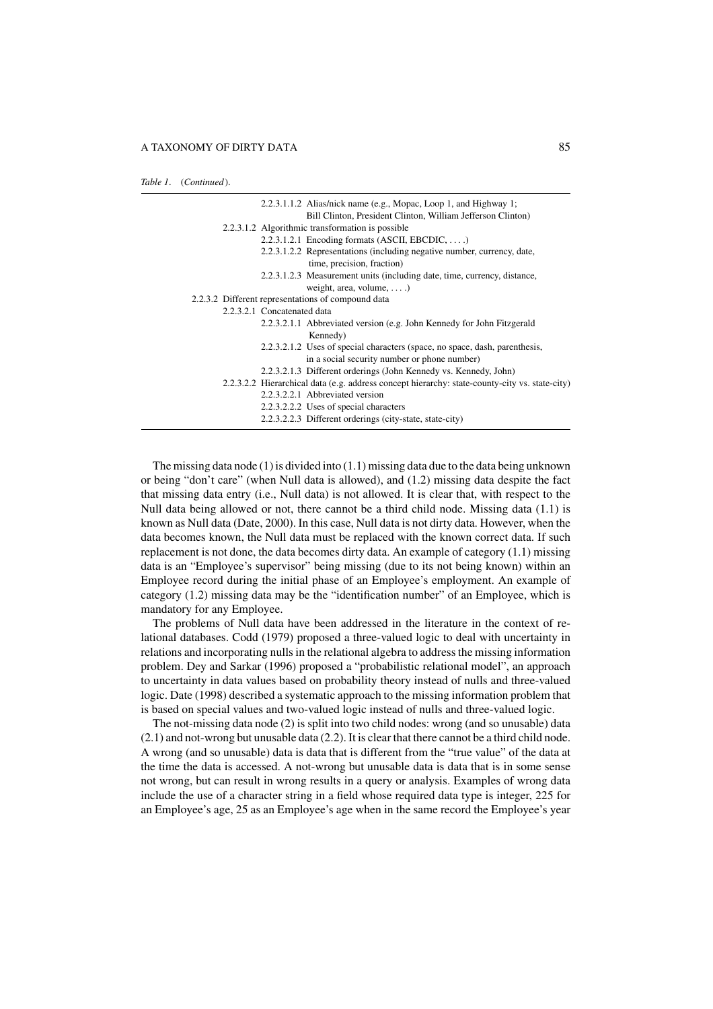*Table 1*. (*Continued*).

|  |                                                    |                             | 2.2.3.1.1.2 Alias/nick name (e.g., Mopac, Loop 1, and Highway 1;                                                            |  |
|--|----------------------------------------------------|-----------------------------|-----------------------------------------------------------------------------------------------------------------------------|--|
|  |                                                    |                             | Bill Clinton, President Clinton, William Jefferson Clinton)                                                                 |  |
|  |                                                    |                             | 2.2.3.1.2 Algorithmic transformation is possible                                                                            |  |
|  |                                                    |                             | 2.2.3.1.2.1 Encoding formats (ASCII, EBCDIC,  .)                                                                            |  |
|  |                                                    |                             | 2.2.3.1.2.2 Representations (including negative number, currency, date,                                                     |  |
|  |                                                    |                             | time, precision, fraction)                                                                                                  |  |
|  |                                                    |                             | 2.2.3.1.2.3 Measurement units (including date, time, currency, distance,<br>weight, area, volume, $\dots$ .)                |  |
|  | 2.2.3.2 Different representations of compound data |                             |                                                                                                                             |  |
|  |                                                    | 2.2.3.2.1 Concatenated data |                                                                                                                             |  |
|  |                                                    |                             | 2.2.3.2.1.1 Abbreviated version (e.g. John Kennedy for John Fitzgerald<br>Kennedy)                                          |  |
|  |                                                    |                             | 2.2.3.2.1.2 Uses of special characters (space, no space, dash, parenthesis,<br>in a social security number or phone number) |  |
|  |                                                    |                             | 2.2.3.2.1.3 Different orderings (John Kennedy vs. Kennedy, John)                                                            |  |
|  |                                                    |                             | 2.2.3.2.2 Hierarchical data (e.g. address concept hierarchy: state-county-city vs. state-city)                              |  |
|  |                                                    |                             | 2.2.3.2.2.1 Abbreviated version                                                                                             |  |
|  |                                                    |                             | 2.2.3.2.2.2 Uses of special characters                                                                                      |  |
|  |                                                    |                             | 2.2.3.2.2.3 Different orderings (city-state, state-city)                                                                    |  |
|  |                                                    |                             |                                                                                                                             |  |

The missing data node  $(1)$  is divided into  $(1.1)$  missing data due to the data being unknown or being "don't care" (when Null data is allowed), and (1.2) missing data despite the fact that missing data entry (i.e., Null data) is not allowed. It is clear that, with respect to the Null data being allowed or not, there cannot be a third child node. Missing data (1.1) is known as Null data (Date, 2000). In this case, Null data is not dirty data. However, when the data becomes known, the Null data must be replaced with the known correct data. If such replacement is not done, the data becomes dirty data. An example of category (1.1) missing data is an "Employee's supervisor" being missing (due to its not being known) within an Employee record during the initial phase of an Employee's employment. An example of category (1.2) missing data may be the "identification number" of an Employee, which is mandatory for any Employee.

The problems of Null data have been addressed in the literature in the context of relational databases. Codd (1979) proposed a three-valued logic to deal with uncertainty in relations and incorporating nulls in the relational algebra to address the missing information problem. Dey and Sarkar (1996) proposed a "probabilistic relational model", an approach to uncertainty in data values based on probability theory instead of nulls and three-valued logic. Date (1998) described a systematic approach to the missing information problem that is based on special values and two-valued logic instead of nulls and three-valued logic.

The not-missing data node (2) is split into two child nodes: wrong (and so unusable) data (2.1) and not-wrong but unusable data (2.2). It is clear that there cannot be a third child node. A wrong (and so unusable) data is data that is different from the "true value" of the data at the time the data is accessed. A not-wrong but unusable data is data that is in some sense not wrong, but can result in wrong results in a query or analysis. Examples of wrong data include the use of a character string in a field whose required data type is integer, 225 for an Employee's age, 25 as an Employee's age when in the same record the Employee's year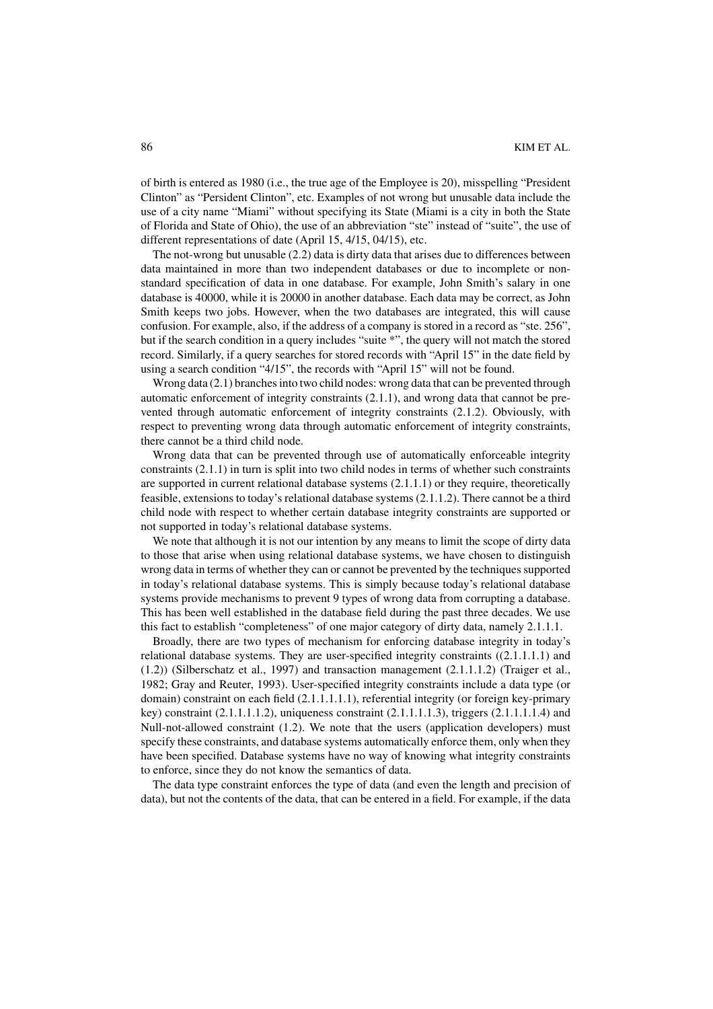of birth is entered as 1980 (i.e., the true age of the Employee is 20), misspelling "President Clinton" as "Persident Clinton", etc. Examples of not wrong but unusable data include the use of a city name "Miami" without specifying its State (Miami is a city in both the State of Florida and State of Ohio), the use of an abbreviation "ste" instead of "suite", the use of different representations of date (April 15, 4/15, 04/15), etc.

The not-wrong but unusable (2.2) data is dirty data that arises due to differences between data maintained in more than two independent databases or due to incomplete or nonstandard specification of data in one database. For example, John Smith's salary in one database is 40000, while it is 20000 in another database. Each data may be correct, as John Smith keeps two jobs. However, when the two databases are integrated, this will cause confusion. For example, also, if the address of a company is stored in a record as "ste. 256", but if the search condition in a query includes "suite \*", the query will not match the stored record. Similarly, if a query searches for stored records with "April 15" in the date field by using a search condition "4/15", the records with "April 15" will not be found.

Wrong data (2.1) branches into two child nodes: wrong data that can be prevented through automatic enforcement of integrity constraints (2.1.1), and wrong data that cannot be prevented through automatic enforcement of integrity constraints (2.1.2). Obviously, with respect to preventing wrong data through automatic enforcement of integrity constraints, there cannot be a third child node.

Wrong data that can be prevented through use of automatically enforceable integrity constraints (2.1.1) in turn is split into two child nodes in terms of whether such constraints are supported in current relational database systems  $(2.1.1.1)$  or they require, theoretically feasible, extensions to today's relational database systems (2.1.1.2). There cannot be a third child node with respect to whether certain database integrity constraints are supported or not supported in today's relational database systems.

We note that although it is not our intention by any means to limit the scope of dirty data to those that arise when using relational database systems, we have chosen to distinguish wrong data in terms of whether they can or cannot be prevented by the techniques supported in today's relational database systems. This is simply because today's relational database systems provide mechanisms to prevent 9 types of wrong data from corrupting a database. This has been well established in the database field during the past three decades. We use this fact to establish "completeness" of one major category of dirty data, namely 2.1.1.1.

Broadly, there are two types of mechanism for enforcing database integrity in today's relational database systems. They are user-specified integrity constraints  $((2.1.1.1.1)$  and  $(1.2)$ ) (Silberschatz et al., 1997) and transaction management  $(2.1.1.1.2)$  (Traiger et al., 1982; Gray and Reuter, 1993). User-specified integrity constraints include a data type (or domain) constraint on each field (2.1.1.1.1.1), referential integrity (or foreign key-primary key) constraint  $(2.1.1.1.1.2)$ , uniqueness constraint  $(2.1.1.1.1.3)$ , triggers  $(2.1.1.1.1.4)$  and Null-not-allowed constraint (1.2). We note that the users (application developers) must specify these constraints, and database systems automatically enforce them, only when they have been specified. Database systems have no way of knowing what integrity constraints to enforce, since they do not know the semantics of data.

The data type constraint enforces the type of data (and even the length and precision of data), but not the contents of the data, that can be entered in a field. For example, if the data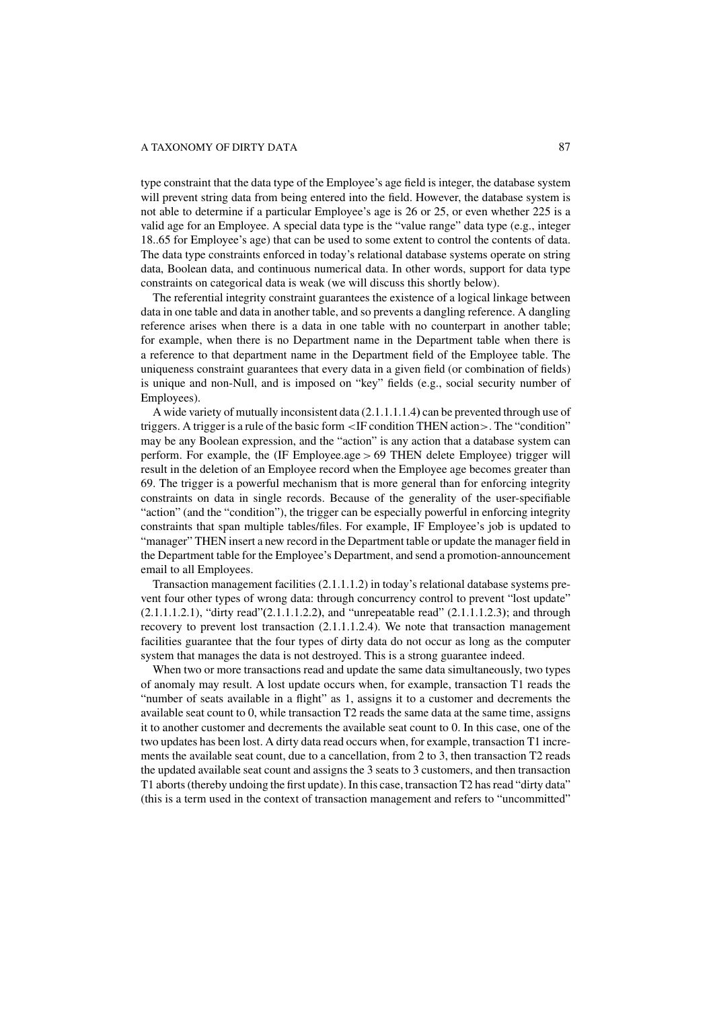type constraint that the data type of the Employee's age field is integer, the database system will prevent string data from being entered into the field. However, the database system is not able to determine if a particular Employee's age is 26 or 25, or even whether 225 is a valid age for an Employee. A special data type is the "value range" data type (e.g., integer 18..65 for Employee's age) that can be used to some extent to control the contents of data. The data type constraints enforced in today's relational database systems operate on string data, Boolean data, and continuous numerical data. In other words, support for data type constraints on categorical data is weak (we will discuss this shortly below).

The referential integrity constraint guarantees the existence of a logical linkage between data in one table and data in another table, and so prevents a dangling reference. A dangling reference arises when there is a data in one table with no counterpart in another table; for example, when there is no Department name in the Department table when there is a reference to that department name in the Department field of the Employee table. The uniqueness constraint guarantees that every data in a given field (or combination of fields) is unique and non-Null, and is imposed on "key" fields (e.g., social security number of Employees).

A wide variety of mutually inconsistent data (2.1.1.1.1.4**)** can be prevented through use of triggers. A trigger is a rule of the basic form <IF condition THEN action >. The "condition" may be any Boolean expression, and the "action" is any action that a database system can perform. For example, the (IF Employee.age  $> 69$  THEN delete Employee) trigger will result in the deletion of an Employee record when the Employee age becomes greater than 69. The trigger is a powerful mechanism that is more general than for enforcing integrity constraints on data in single records. Because of the generality of the user-specifiable "action" (and the "condition"), the trigger can be especially powerful in enforcing integrity constraints that span multiple tables/files. For example, IF Employee's job is updated to "manager" THEN insert a new record in the Department table or update the manager field in the Department table for the Employee's Department, and send a promotion-announcement email to all Employees.

Transaction management facilities (2.1.1.1.2) in today's relational database systems prevent four other types of wrong data: through concurrency control to prevent "lost update" (2.1.1.1.2.1), "dirty read"**(**2.1.1.1.2.2**)**, and "unrepeatable read" (2.1.1.1.2.3**)**; and through recovery to prevent lost transaction (2.1.1.1.2.4). We note that transaction management facilities guarantee that the four types of dirty data do not occur as long as the computer system that manages the data is not destroyed. This is a strong guarantee indeed.

When two or more transactions read and update the same data simultaneously, two types of anomaly may result. A lost update occurs when, for example, transaction T1 reads the "number of seats available in a flight" as 1, assigns it to a customer and decrements the available seat count to 0, while transaction T2 reads the same data at the same time, assigns it to another customer and decrements the available seat count to 0. In this case, one of the two updates has been lost. A dirty data read occurs when, for example, transaction T1 increments the available seat count, due to a cancellation, from 2 to 3, then transaction T2 reads the updated available seat count and assigns the 3 seats to 3 customers, and then transaction T1 aborts (thereby undoing the first update). In this case, transaction T2 has read "dirty data" (this is a term used in the context of transaction management and refers to "uncommitted"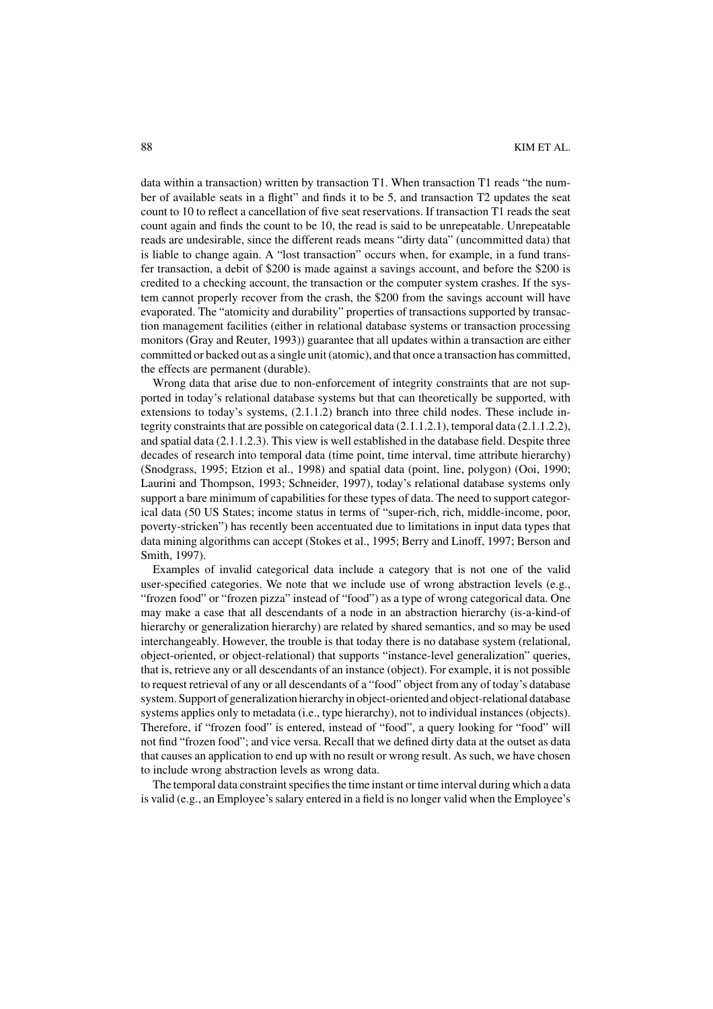data within a transaction) written by transaction T1. When transaction T1 reads "the number of available seats in a flight" and finds it to be 5, and transaction T2 updates the seat count to 10 to reflect a cancellation of five seat reservations. If transaction T1 reads the seat count again and finds the count to be 10, the read is said to be unrepeatable. Unrepeatable reads are undesirable, since the different reads means "dirty data" (uncommitted data) that is liable to change again. A "lost transaction" occurs when, for example, in a fund transfer transaction, a debit of \$200 is made against a savings account, and before the \$200 is credited to a checking account, the transaction or the computer system crashes. If the system cannot properly recover from the crash, the \$200 from the savings account will have evaporated. The "atomicity and durability" properties of transactions supported by transaction management facilities (either in relational database systems or transaction processing monitors (Gray and Reuter, 1993)) guarantee that all updates within a transaction are either committed or backed out as a single unit (atomic), and that once a transaction has committed, the effects are permanent (durable).

Wrong data that arise due to non-enforcement of integrity constraints that are not supported in today's relational database systems but that can theoretically be supported, with extensions to today's systems, (2.1.1.2) branch into three child nodes. These include integrity constraints that are possible on categorical data (2.1.1.2.1), temporal data (2.1.1.2.2), and spatial data (2.1.1.2.3). This view is well established in the database field. Despite three decades of research into temporal data (time point, time interval, time attribute hierarchy) (Snodgrass, 1995; Etzion et al., 1998) and spatial data (point, line, polygon) (Ooi, 1990; Laurini and Thompson, 1993; Schneider, 1997), today's relational database systems only support a bare minimum of capabilities for these types of data. The need to support categorical data (50 US States; income status in terms of "super-rich, rich, middle-income, poor, poverty-stricken") has recently been accentuated due to limitations in input data types that data mining algorithms can accept (Stokes et al., 1995; Berry and Linoff, 1997; Berson and Smith, 1997).

Examples of invalid categorical data include a category that is not one of the valid user-specified categories. We note that we include use of wrong abstraction levels (e.g., "frozen food" or "frozen pizza" instead of "food") as a type of wrong categorical data. One may make a case that all descendants of a node in an abstraction hierarchy (is-a-kind-of hierarchy or generalization hierarchy) are related by shared semantics, and so may be used interchangeably. However, the trouble is that today there is no database system (relational, object-oriented, or object-relational) that supports "instance-level generalization" queries, that is, retrieve any or all descendants of an instance (object). For example, it is not possible to request retrieval of any or all descendants of a "food" object from any of today's database system. Support of generalization hierarchy in object-oriented and object-relational database systems applies only to metadata (i.e., type hierarchy), not to individual instances (objects). Therefore, if "frozen food" is entered, instead of "food", a query looking for "food" will not find "frozen food"; and vice versa. Recall that we defined dirty data at the outset as data that causes an application to end up with no result or wrong result. As such, we have chosen to include wrong abstraction levels as wrong data.

The temporal data constraint specifies the time instant or time interval during which a data is valid (e.g., an Employee's salary entered in a field is no longer valid when the Employee's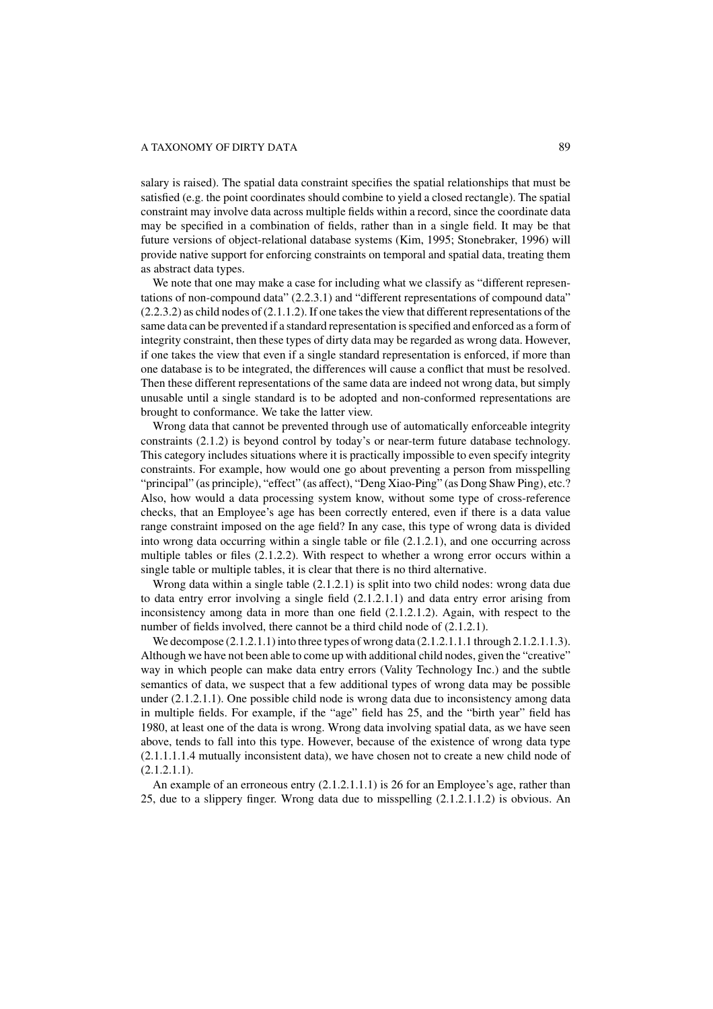salary is raised). The spatial data constraint specifies the spatial relationships that must be satisfied (e.g. the point coordinates should combine to yield a closed rectangle). The spatial constraint may involve data across multiple fields within a record, since the coordinate data may be specified in a combination of fields, rather than in a single field. It may be that future versions of object-relational database systems (Kim, 1995; Stonebraker, 1996) will provide native support for enforcing constraints on temporal and spatial data, treating them as abstract data types.

We note that one may make a case for including what we classify as "different representations of non-compound data" (2.2.3.1) and "different representations of compound data"  $(2.2.3.2)$  as child nodes of  $(2.1.1.2)$ . If one takes the view that different representations of the same data can be prevented if a standard representation is specified and enforced as a form of integrity constraint, then these types of dirty data may be regarded as wrong data. However, if one takes the view that even if a single standard representation is enforced, if more than one database is to be integrated, the differences will cause a conflict that must be resolved. Then these different representations of the same data are indeed not wrong data, but simply unusable until a single standard is to be adopted and non-conformed representations are brought to conformance. We take the latter view.

Wrong data that cannot be prevented through use of automatically enforceable integrity constraints (2.1.2) is beyond control by today's or near-term future database technology. This category includes situations where it is practically impossible to even specify integrity constraints. For example, how would one go about preventing a person from misspelling "principal" (as principle), "effect" (as affect), "Deng Xiao-Ping" (as Dong Shaw Ping), etc.? Also, how would a data processing system know, without some type of cross-reference checks, that an Employee's age has been correctly entered, even if there is a data value range constraint imposed on the age field? In any case, this type of wrong data is divided into wrong data occurring within a single table or file  $(2.1.2.1)$ , and one occurring across multiple tables or files (2.1.2.2). With respect to whether a wrong error occurs within a single table or multiple tables, it is clear that there is no third alternative.

Wrong data within a single table (2.1.2.1) is split into two child nodes: wrong data due to data entry error involving a single field (2.1.2.1.1) and data entry error arising from inconsistency among data in more than one field (2.1.2.1.2). Again, with respect to the number of fields involved, there cannot be a third child node of (2.1.2.1).

We decompose (2.1.2.1.1) into three types of wrong data (2.1.2.1.1.1 through 2.1.2.1.1.3). Although we have not been able to come up with additional child nodes, given the "creative" way in which people can make data entry errors (Vality Technology Inc.) and the subtle semantics of data, we suspect that a few additional types of wrong data may be possible under (2.1.2.1.1). One possible child node is wrong data due to inconsistency among data in multiple fields. For example, if the "age" field has 25, and the "birth year" field has 1980, at least one of the data is wrong. Wrong data involving spatial data, as we have seen above, tends to fall into this type. However, because of the existence of wrong data type (2.1.1.1.1.4 mutually inconsistent data), we have chosen not to create a new child node of  $(2.1.2.1.1).$ 

An example of an erroneous entry (2.1.2.1.1.1) is 26 for an Employee's age, rather than 25, due to a slippery finger. Wrong data due to misspelling (2.1.2.1.1.2) is obvious. An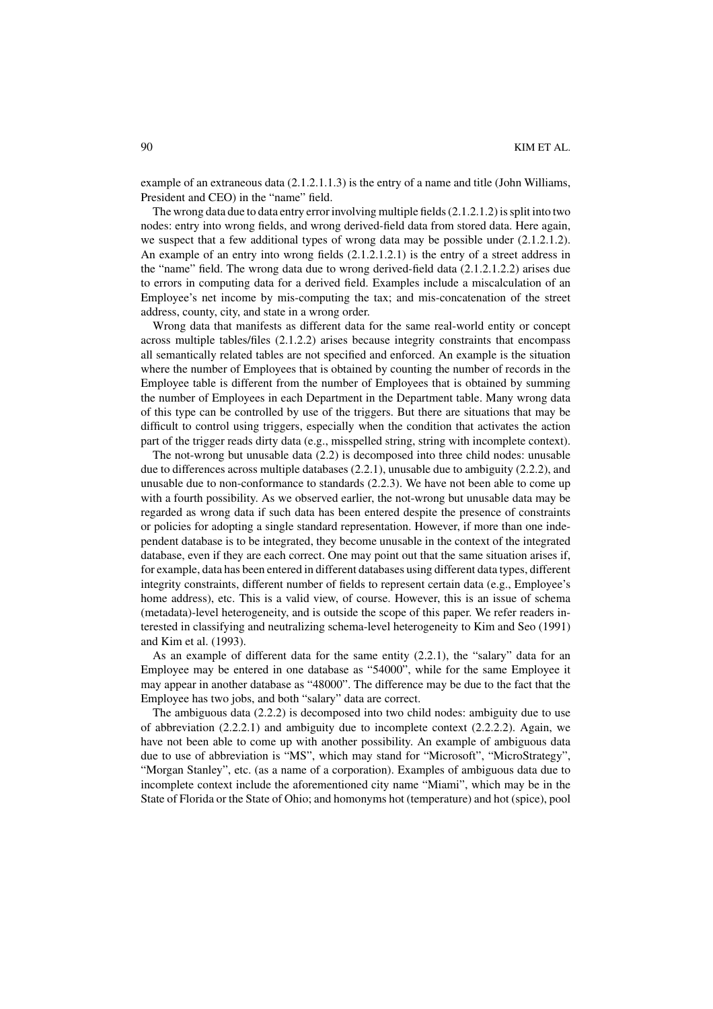example of an extraneous data (2.1.2.1.1.3) is the entry of a name and title (John Williams, President and CEO) in the "name" field.

The wrong data due to data entry error involving multiple fields (2.1.2.1.2) is split into two nodes: entry into wrong fields, and wrong derived-field data from stored data. Here again, we suspect that a few additional types of wrong data may be possible under (2.1.2.1.2). An example of an entry into wrong fields (2.1.2.1.2.1) is the entry of a street address in the "name" field. The wrong data due to wrong derived-field data (2.1.2.1.2.2) arises due to errors in computing data for a derived field. Examples include a miscalculation of an Employee's net income by mis-computing the tax; and mis-concatenation of the street address, county, city, and state in a wrong order.

Wrong data that manifests as different data for the same real-world entity or concept across multiple tables/files (2.1.2.2) arises because integrity constraints that encompass all semantically related tables are not specified and enforced. An example is the situation where the number of Employees that is obtained by counting the number of records in the Employee table is different from the number of Employees that is obtained by summing the number of Employees in each Department in the Department table. Many wrong data of this type can be controlled by use of the triggers. But there are situations that may be difficult to control using triggers, especially when the condition that activates the action part of the trigger reads dirty data (e.g., misspelled string, string with incomplete context).

The not-wrong but unusable data (2.2) is decomposed into three child nodes: unusable due to differences across multiple databases (2.2.1), unusable due to ambiguity (2.2.2), and unusable due to non-conformance to standards (2.2.3). We have not been able to come up with a fourth possibility. As we observed earlier, the not-wrong but unusable data may be regarded as wrong data if such data has been entered despite the presence of constraints or policies for adopting a single standard representation. However, if more than one independent database is to be integrated, they become unusable in the context of the integrated database, even if they are each correct. One may point out that the same situation arises if, for example, data has been entered in different databases using different data types, different integrity constraints, different number of fields to represent certain data (e.g., Employee's home address), etc. This is a valid view, of course. However, this is an issue of schema (metadata)-level heterogeneity, and is outside the scope of this paper. We refer readers interested in classifying and neutralizing schema-level heterogeneity to Kim and Seo (1991) and Kim et al. (1993).

As an example of different data for the same entity (2.2.1), the "salary" data for an Employee may be entered in one database as "54000", while for the same Employee it may appear in another database as "48000". The difference may be due to the fact that the Employee has two jobs, and both "salary" data are correct.

The ambiguous data (2.2.2) is decomposed into two child nodes: ambiguity due to use of abbreviation (2.2.2.1) and ambiguity due to incomplete context (2.2.2.2). Again, we have not been able to come up with another possibility. An example of ambiguous data due to use of abbreviation is "MS", which may stand for "Microsoft", "MicroStrategy", "Morgan Stanley", etc. (as a name of a corporation). Examples of ambiguous data due to incomplete context include the aforementioned city name "Miami", which may be in the State of Florida or the State of Ohio; and homonyms hot (temperature) and hot (spice), pool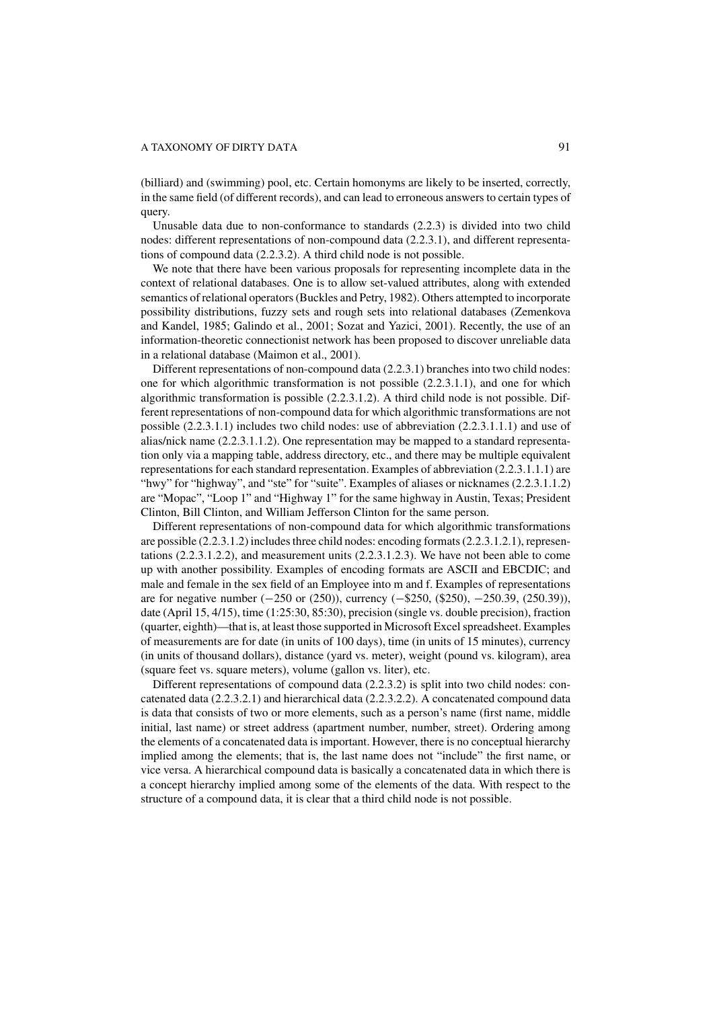## A TAXONOMY OF DIRTY DATA  $91$

(billiard) and (swimming) pool, etc. Certain homonyms are likely to be inserted, correctly, in the same field (of different records), and can lead to erroneous answers to certain types of query.

Unusable data due to non-conformance to standards (2.2.3) is divided into two child nodes: different representations of non-compound data (2.2.3.1), and different representations of compound data (2.2.3.2). A third child node is not possible.

We note that there have been various proposals for representing incomplete data in the context of relational databases. One is to allow set-valued attributes, along with extended semantics of relational operators (Buckles and Petry, 1982). Others attempted to incorporate possibility distributions, fuzzy sets and rough sets into relational databases (Zemenkova and Kandel, 1985; Galindo et al., 2001; Sozat and Yazici, 2001). Recently, the use of an information-theoretic connectionist network has been proposed to discover unreliable data in a relational database (Maimon et al., 2001).

Different representations of non-compound data (2.2.3.1) branches into two child nodes: one for which algorithmic transformation is not possible (2.2.3.1.1), and one for which algorithmic transformation is possible (2.2.3.1.2). A third child node is not possible. Different representations of non-compound data for which algorithmic transformations are not possible (2.2.3.1.1) includes two child nodes: use of abbreviation (2.2.3.1.1.1) and use of alias/nick name (2.2.3.1.1.2). One representation may be mapped to a standard representation only via a mapping table, address directory, etc., and there may be multiple equivalent representations for each standard representation. Examples of abbreviation (2.2.3.1.1.1) are "hwy" for "highway", and "ste" for "suite". Examples of aliases or nicknames (2.2.3.1.1.2) are "Mopac", "Loop 1" and "Highway 1" for the same highway in Austin, Texas; President Clinton, Bill Clinton, and William Jefferson Clinton for the same person.

Different representations of non-compound data for which algorithmic transformations are possible (2.2.3.1.2) includes three child nodes: encoding formats (2.2.3.1.2.1), representations (2.2.3.1.2.2), and measurement units (2.2.3.1.2.3). We have not been able to come up with another possibility. Examples of encoding formats are ASCII and EBCDIC; and male and female in the sex field of an Employee into m and f. Examples of representations are for negative number (−250 or (250)), currency (−\$250, (\$250), −250.39, (250.39)), date (April 15, 4/15), time (1:25:30, 85:30), precision (single vs. double precision), fraction (quarter, eighth)—that is, at least those supported in Microsoft Excel spreadsheet. Examples of measurements are for date (in units of 100 days), time (in units of 15 minutes), currency (in units of thousand dollars), distance (yard vs. meter), weight (pound vs. kilogram), area (square feet vs. square meters), volume (gallon vs. liter), etc.

Different representations of compound data (2.2.3.2) is split into two child nodes: concatenated data (2.2.3.2.1) and hierarchical data (2.2.3.2.2). A concatenated compound data is data that consists of two or more elements, such as a person's name (first name, middle initial, last name) or street address (apartment number, number, street). Ordering among the elements of a concatenated data is important. However, there is no conceptual hierarchy implied among the elements; that is, the last name does not "include" the first name, or vice versa. A hierarchical compound data is basically a concatenated data in which there is a concept hierarchy implied among some of the elements of the data. With respect to the structure of a compound data, it is clear that a third child node is not possible.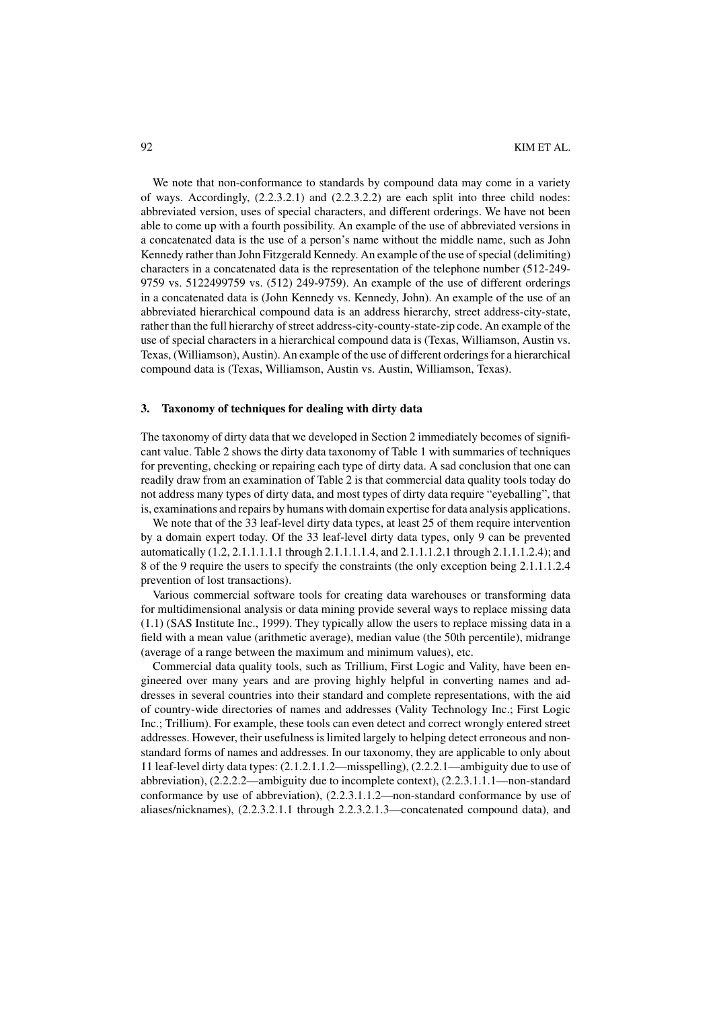We note that non-conformance to standards by compound data may come in a variety of ways. Accordingly,  $(2.2.3.2.1)$  and  $(2.2.3.2.2)$  are each split into three child nodes: abbreviated version, uses of special characters, and different orderings. We have not been able to come up with a fourth possibility. An example of the use of abbreviated versions in a concatenated data is the use of a person's name without the middle name, such as John Kennedy rather than John Fitzgerald Kennedy. An example of the use of special (delimiting) characters in a concatenated data is the representation of the telephone number (512-249- 9759 vs. 5122499759 vs. (512) 249-9759). An example of the use of different orderings in a concatenated data is (John Kennedy vs. Kennedy, John). An example of the use of an abbreviated hierarchical compound data is an address hierarchy, street address-city-state, rather than the full hierarchy of street address-city-county-state-zip code. An example of the use of special characters in a hierarchical compound data is (Texas, Williamson, Austin vs. Texas, (Williamson), Austin). An example of the use of different orderings for a hierarchical compound data is (Texas, Williamson, Austin vs. Austin, Williamson, Texas).

#### **3. Taxonomy of techniques for dealing with dirty data**

The taxonomy of dirty data that we developed in Section 2 immediately becomes of significant value. Table 2 shows the dirty data taxonomy of Table 1 with summaries of techniques for preventing, checking or repairing each type of dirty data. A sad conclusion that one can readily draw from an examination of Table 2 is that commercial data quality tools today do not address many types of dirty data, and most types of dirty data require "eyeballing", that is, examinations and repairs by humans with domain expertise for data analysis applications.

We note that of the 33 leaf-level dirty data types, at least 25 of them require intervention by a domain expert today. Of the 33 leaf-level dirty data types, only 9 can be prevented automatically (1.2, 2.1.1.1.1.1 through 2.1.1.1.1.4, and 2.1.1.1.2.1 through 2.1.1.1.2.4); and 8 of the 9 require the users to specify the constraints (the only exception being 2.1.1.1.2.4 prevention of lost transactions).

Various commercial software tools for creating data warehouses or transforming data for multidimensional analysis or data mining provide several ways to replace missing data (1.1) (SAS Institute Inc., 1999). They typically allow the users to replace missing data in a field with a mean value (arithmetic average), median value (the 50th percentile), midrange (average of a range between the maximum and minimum values), etc.

Commercial data quality tools, such as Trillium, First Logic and Vality, have been engineered over many years and are proving highly helpful in converting names and addresses in several countries into their standard and complete representations, with the aid of country-wide directories of names and addresses (Vality Technology Inc.; First Logic Inc.; Trillium). For example, these tools can even detect and correct wrongly entered street addresses. However, their usefulness is limited largely to helping detect erroneous and nonstandard forms of names and addresses. In our taxonomy, they are applicable to only about 11 leaf-level dirty data types: (2.1.2.1.1.2—misspelling), (2.2.2.1—ambiguity due to use of abbreviation), (2.2.2.2—ambiguity due to incomplete context), (2.2.3.1.1.1—non-standard conformance by use of abbreviation), (2.2.3.1.1.2—non-standard conformance by use of aliases/nicknames), (2.2.3.2.1.1 through 2.2.3.2.1.3—concatenated compound data), and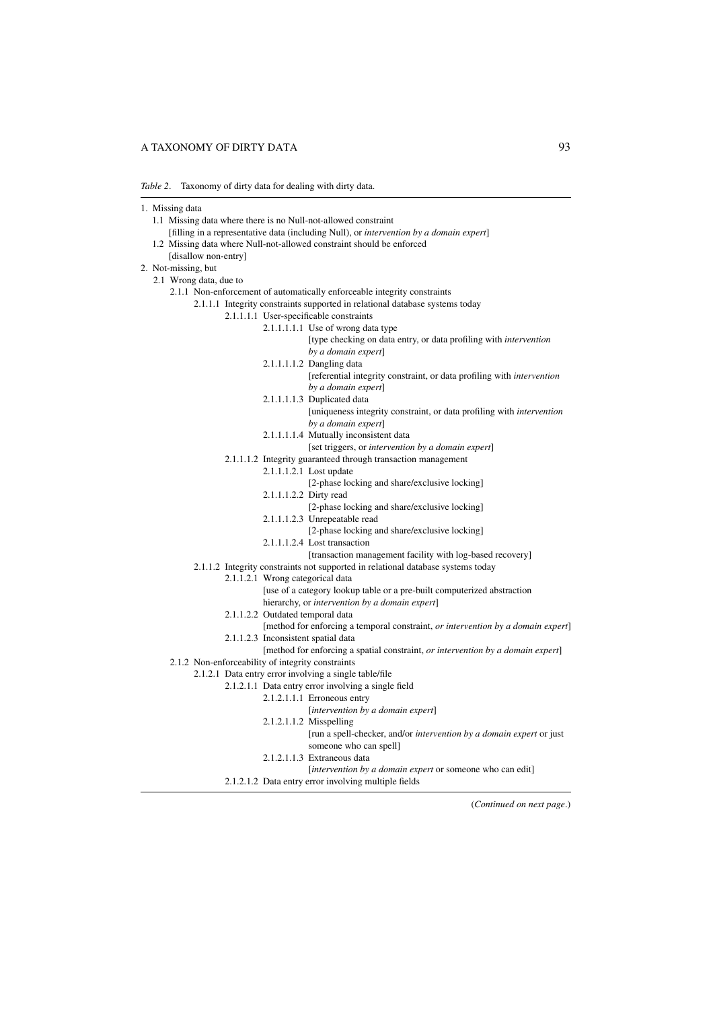*Table 2*. Taxonomy of dirty data for dealing with dirty data.

1. Missing data 1.1 Missing data where there is no Null-not-allowed constraint [filling in a representative data (including Null), or *intervention by a domain expert*] 1.2 Missing data where Null-not-allowed constraint should be enforced [disallow non-entry] 2. Not-missing, but 2.1 Wrong data, due to 2.1.1 Non-enforcement of automatically enforceable integrity constraints 2.1.1.1 Integrity constraints supported in relational database systems today 2.1.1.1.1 User-specificable constraints 2.1.1.1.1.1 Use of wrong data type [type checking on data entry, or data profiling with *intervention by a domain expert*] 2.1.1.1.1.2 Dangling data [referential integrity constraint, or data profiling with *intervention by a domain expert*] 2.1.1.1.1.3 Duplicated data [uniqueness integrity constraint, or data profiling with *intervention by a domain expert*] 2.1.1.1.1.4 Mutually inconsistent data [set triggers, or *intervention by a domain expert*] 2.1.1.1.2 Integrity guaranteed through transaction management 2.1.1.1.2.1 Lost update [2-phase locking and share/exclusive locking] 2.1.1.1.2.2 Dirty read [2-phase locking and share/exclusive locking] 2.1.1.1.2.3 Unrepeatable read [2-phase locking and share/exclusive locking] 2.1.1.1.2.4 Lost transaction [transaction management facility with log-based recovery] 2.1.1.2 Integrity constraints not supported in relational database systems today 2.1.1.2.1 Wrong categorical data [use of a category lookup table or a pre-built computerized abstraction hierarchy, or *intervention by a domain expert*] 2.1.1.2.2 Outdated temporal data [method for enforcing a temporal constraint, *or intervention by a domain expert*] 2.1.1.2.3 Inconsistent spatial data [method for enforcing a spatial constraint, *or intervention by a domain expert*] 2.1.2 Non-enforceability of integrity constraints 2.1.2.1 Data entry error involving a single table/file 2.1.2.1.1 Data entry error involving a single field 2.1.2.1.1.1 Erroneous entry [*intervention by a domain expert*] 2.1.2.1.1.2 Misspelling [run a spell-checker, and/or *intervention by a domain expert* or just someone who can spell] 2.1.2.1.1.3 Extraneous data [*intervention by a domain expert* or someone who can edit] 2.1.2.1.2 Data entry error involving multiple fields

(*Continued on next page*.)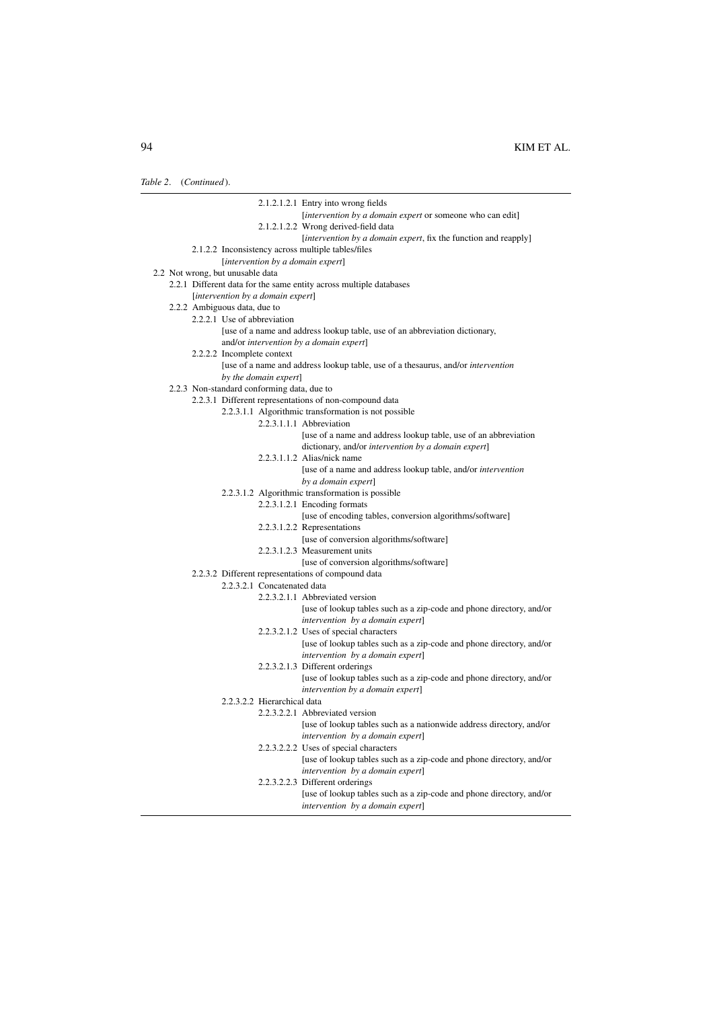| Table 2. | (Continued). |
|----------|--------------|
|----------|--------------|

#### 2.1.2.1.2.1 Entry into wrong fields

- [*intervention by a domain expert* or someone who can edit]
- 2.1.2.1.2.2 Wrong derived-field data
	- [*intervention by a domain expert*, fix the function and reapply]
- 2.1.2.2 Inconsistency across multiple tables/files [*intervention by a domain expert*]
- 2.2 Not wrong, but unusable data
- - 2.2.1 Different data for the same entity across multiple databases
		- [*intervention by a domain expert*]
	- 2.2.2 Ambiguous data, due to
		- 2.2.2.1 Use of abbreviation
			- [use of a name and address lookup table, use of an abbreviation dictionary,
			- and/or *intervention by a domain expert*]
		- 2.2.2.2 Incomplete context
			- [use of a name and address lookup table, use of a thesaurus, and/or *intervention by the domain expert*]
	- 2.2.3 Non-standard conforming data, due to
		- 2.2.3.1 Different representations of non-compound data
			- 2.2.3.1.1 Algorithmic transformation is not possible
				- - 2.2.3.1.1.1 Abbreviation
						- [use of a name and address lookup table, use of an abbreviation dictionary, and/or *intervention by a domain expert*]
					- 2.2.3.1.1.2 Alias/nick name
						- [use of a name and address lookup table, and/or *intervention by a domain expert*]
						-
				- 2.2.3.1.2 Algorithmic transformation is possible 2.2.3.1.2.1 Encoding formats
					-
					- [use of encoding tables, conversion algorithms/software] 2.2.3.1.2.2 Representations
						- [use of conversion algorithms/software]
					- 2.2.3.1.2.3 Measurement units
						- [use of conversion algorithms/software]
			- 2.2.3.2 Different representations of compound data
				- 2.2.3.2.1 Concatenated data

# 2.2.3.2.1.1 Abbreviated version

- [use of lookup tables such as a zip-code and phone directory, and/or *intervention by a domain expert*]
- 2.2.3.2.1.2 Uses of special characters
	- [use of lookup tables such as a zip-code and phone directory, and/or *intervention by a domain expert*]
- 2.2.3.2.1.3 Different orderings
	- [use of lookup tables such as a zip-code and phone directory, and/or *intervention by a domain expert*]
- 2.2.3.2.2 Hierarchical data
	- 2.2.3.2.2.1 Abbreviated version
		- [use of lookup tables such as a nationwide address directory, and/or *intervention by a domain expert*]
		- 2.2.3.2.2.2 Uses of special characters
			- [use of lookup tables such as a zip-code and phone directory, and/or *intervention by a domain expert*]
		- 2.2.3.2.2.3 Different orderings
			- [use of lookup tables such as a zip-code and phone directory, and/or *intervention by a domain expert*]
				-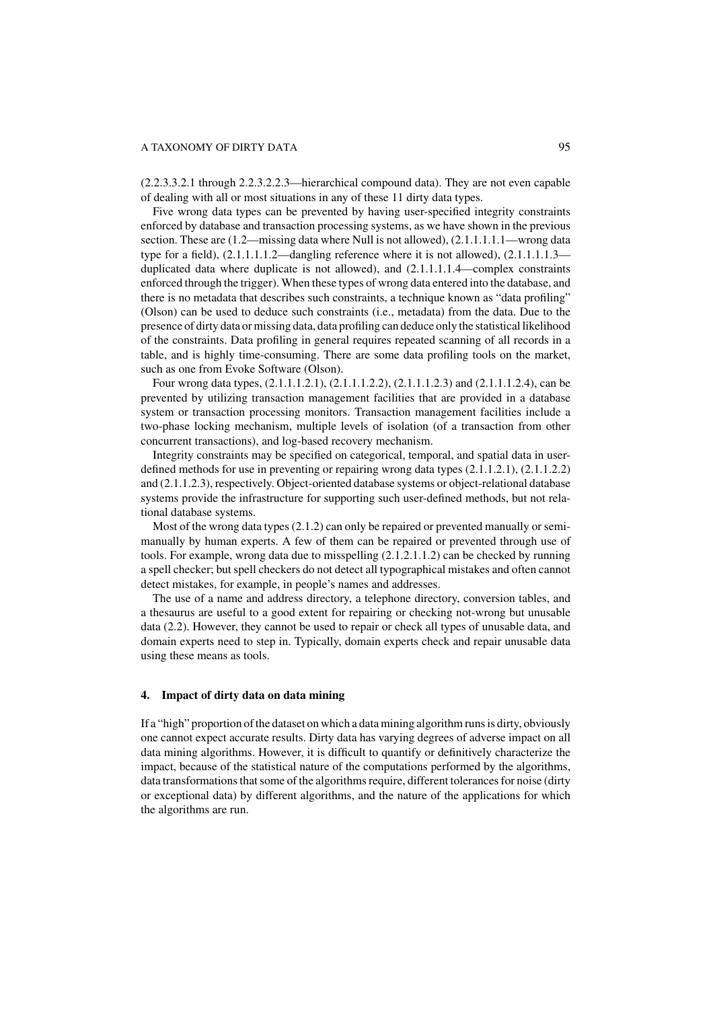#### A TAXONOMY OF DIRTY DATA  $95$

(2.2.3.3.2.1 through 2.2.3.2.2.3—hierarchical compound data). They are not even capable of dealing with all or most situations in any of these 11 dirty data types.

Five wrong data types can be prevented by having user-specified integrity constraints enforced by database and transaction processing systems, as we have shown in the previous section. These are (1.2—missing data where Null is not allowed), (2.1.1.1.1.1—wrong data type for a field), (2.1.1.1.1.2—dangling reference where it is not allowed), (2.1.1.1.1.3 duplicated data where duplicate is not allowed), and (2.1.1.1.1.4—complex constraints enforced through the trigger). When these types of wrong data entered into the database, and there is no metadata that describes such constraints, a technique known as "data profiling" (Olson) can be used to deduce such constraints (i.e., metadata) from the data. Due to the presence of dirty data or missing data, data profiling can deduce only the statistical likelihood of the constraints. Data profiling in general requires repeated scanning of all records in a table, and is highly time-consuming. There are some data profiling tools on the market, such as one from Evoke Software (Olson).

Four wrong data types, (2.1.1.1.2.1), (2.1.1.1.2.2), (2.1.1.1.2.3) and (2.1.1.1.2.4), can be prevented by utilizing transaction management facilities that are provided in a database system or transaction processing monitors. Transaction management facilities include a two-phase locking mechanism, multiple levels of isolation (of a transaction from other concurrent transactions), and log-based recovery mechanism.

Integrity constraints may be specified on categorical, temporal, and spatial data in userdefined methods for use in preventing or repairing wrong data types (2.1.1.2.1), (2.1.1.2.2) and (2.1.1.2.3), respectively. Object-oriented database systems or object-relational database systems provide the infrastructure for supporting such user-defined methods, but not relational database systems.

Most of the wrong data types (2.1.2) can only be repaired or prevented manually or semimanually by human experts. A few of them can be repaired or prevented through use of tools. For example, wrong data due to misspelling (2.1.2.1.1.2) can be checked by running a spell checker; but spell checkers do not detect all typographical mistakes and often cannot detect mistakes, for example, in people's names and addresses.

The use of a name and address directory, a telephone directory, conversion tables, and a thesaurus are useful to a good extent for repairing or checking not-wrong but unusable data (2.2). However, they cannot be used to repair or check all types of unusable data, and domain experts need to step in. Typically, domain experts check and repair unusable data using these means as tools.

### **4. Impact of dirty data on data mining**

If a "high" proportion of the dataset on which a data mining algorithm runs is dirty, obviously one cannot expect accurate results. Dirty data has varying degrees of adverse impact on all data mining algorithms. However, it is difficult to quantify or definitively characterize the impact, because of the statistical nature of the computations performed by the algorithms, data transformations that some of the algorithms require, different tolerances for noise (dirty or exceptional data) by different algorithms, and the nature of the applications for which the algorithms are run.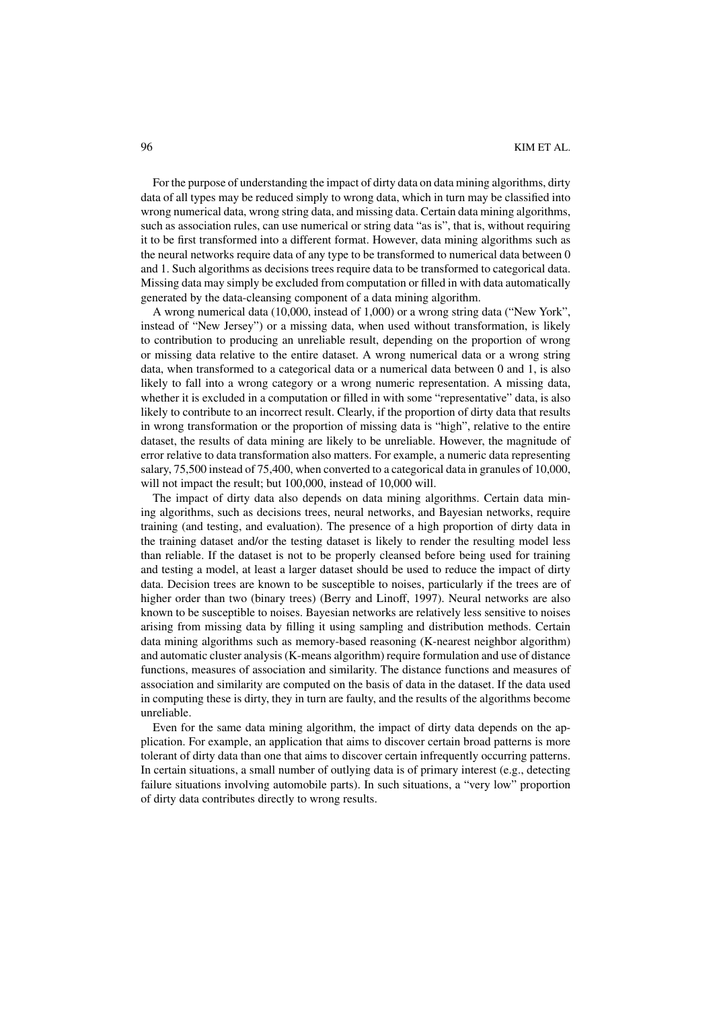For the purpose of understanding the impact of dirty data on data mining algorithms, dirty data of all types may be reduced simply to wrong data, which in turn may be classified into wrong numerical data, wrong string data, and missing data. Certain data mining algorithms, such as association rules, can use numerical or string data "as is", that is, without requiring it to be first transformed into a different format. However, data mining algorithms such as the neural networks require data of any type to be transformed to numerical data between 0 and 1. Such algorithms as decisions trees require data to be transformed to categorical data. Missing data may simply be excluded from computation or filled in with data automatically generated by the data-cleansing component of a data mining algorithm.

A wrong numerical data (10,000, instead of 1,000) or a wrong string data ("New York", instead of "New Jersey") or a missing data, when used without transformation, is likely to contribution to producing an unreliable result, depending on the proportion of wrong or missing data relative to the entire dataset. A wrong numerical data or a wrong string data, when transformed to a categorical data or a numerical data between 0 and 1, is also likely to fall into a wrong category or a wrong numeric representation. A missing data, whether it is excluded in a computation or filled in with some "representative" data, is also likely to contribute to an incorrect result. Clearly, if the proportion of dirty data that results in wrong transformation or the proportion of missing data is "high", relative to the entire dataset, the results of data mining are likely to be unreliable. However, the magnitude of error relative to data transformation also matters. For example, a numeric data representing salary, 75,500 instead of 75,400, when converted to a categorical data in granules of 10,000, will not impact the result; but 100,000, instead of 10,000 will.

The impact of dirty data also depends on data mining algorithms. Certain data mining algorithms, such as decisions trees, neural networks, and Bayesian networks, require training (and testing, and evaluation). The presence of a high proportion of dirty data in the training dataset and/or the testing dataset is likely to render the resulting model less than reliable. If the dataset is not to be properly cleansed before being used for training and testing a model, at least a larger dataset should be used to reduce the impact of dirty data. Decision trees are known to be susceptible to noises, particularly if the trees are of higher order than two (binary trees) (Berry and Linoff, 1997). Neural networks are also known to be susceptible to noises. Bayesian networks are relatively less sensitive to noises arising from missing data by filling it using sampling and distribution methods. Certain data mining algorithms such as memory-based reasoning (K-nearest neighbor algorithm) and automatic cluster analysis (K-means algorithm) require formulation and use of distance functions, measures of association and similarity. The distance functions and measures of association and similarity are computed on the basis of data in the dataset. If the data used in computing these is dirty, they in turn are faulty, and the results of the algorithms become unreliable.

Even for the same data mining algorithm, the impact of dirty data depends on the application. For example, an application that aims to discover certain broad patterns is more tolerant of dirty data than one that aims to discover certain infrequently occurring patterns. In certain situations, a small number of outlying data is of primary interest (e.g., detecting failure situations involving automobile parts). In such situations, a "very low" proportion of dirty data contributes directly to wrong results.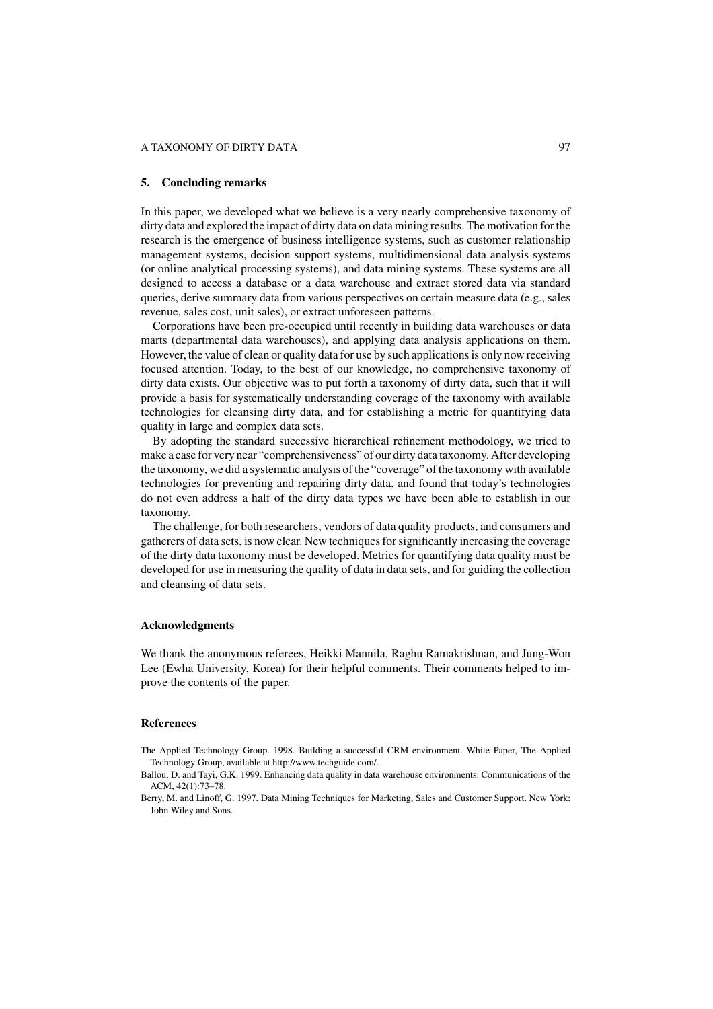#### A TAXONOMY OF DIRTY DATA  $97$

#### **5. Concluding remarks**

In this paper, we developed what we believe is a very nearly comprehensive taxonomy of dirty data and explored the impact of dirty data on data mining results. The motivation for the research is the emergence of business intelligence systems, such as customer relationship management systems, decision support systems, multidimensional data analysis systems (or online analytical processing systems), and data mining systems. These systems are all designed to access a database or a data warehouse and extract stored data via standard queries, derive summary data from various perspectives on certain measure data (e.g., sales revenue, sales cost, unit sales), or extract unforeseen patterns.

Corporations have been pre-occupied until recently in building data warehouses or data marts (departmental data warehouses), and applying data analysis applications on them. However, the value of clean or quality data for use by such applications is only now receiving focused attention. Today, to the best of our knowledge, no comprehensive taxonomy of dirty data exists. Our objective was to put forth a taxonomy of dirty data, such that it will provide a basis for systematically understanding coverage of the taxonomy with available technologies for cleansing dirty data, and for establishing a metric for quantifying data quality in large and complex data sets.

By adopting the standard successive hierarchical refinement methodology, we tried to make a case for very near "comprehensiveness" of our dirty data taxonomy. After developing the taxonomy, we did a systematic analysis of the "coverage" of the taxonomy with available technologies for preventing and repairing dirty data, and found that today's technologies do not even address a half of the dirty data types we have been able to establish in our taxonomy.

The challenge, for both researchers, vendors of data quality products, and consumers and gatherers of data sets, is now clear. New techniques for significantly increasing the coverage of the dirty data taxonomy must be developed. Metrics for quantifying data quality must be developed for use in measuring the quality of data in data sets, and for guiding the collection and cleansing of data sets.

## **Acknowledgments**

We thank the anonymous referees, Heikki Mannila, Raghu Ramakrishnan, and Jung-Won Lee (Ewha University, Korea) for their helpful comments. Their comments helped to improve the contents of the paper.

#### **References**

- The Applied Technology Group. 1998. Building a successful CRM environment. White Paper, The Applied Technology Group, available at http://www.techguide.com/.
- Ballou, D. and Tayi, G.K. 1999. Enhancing data quality in data warehouse environments. Communications of the ACM, 42(1):73–78.
- Berry, M. and Linoff, G. 1997. Data Mining Techniques for Marketing, Sales and Customer Support. New York: John Wiley and Sons.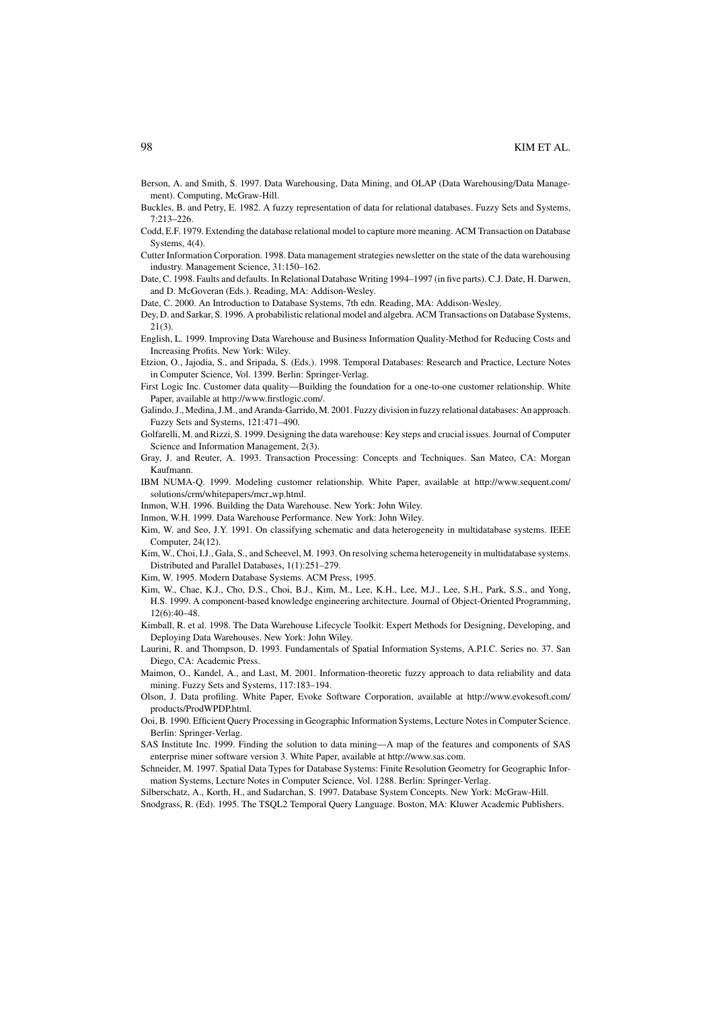- Berson, A. and Smith, S. 1997. Data Warehousing, Data Mining, and OLAP (Data Warehousing/Data Management). Computing, McGraw-Hill.
- Buckles, B. and Petry, E. 1982. A fuzzy representation of data for relational databases. Fuzzy Sets and Systems, 7:213–226.
- Codd, E.F. 1979. Extending the database relational model to capture more meaning. ACM Transaction on Database Systems,  $4(4)$ .
- Cutter Information Corporation. 1998. Data management strategies newsletter on the state of the data warehousing industry. Management Science, 31:150–162.
- Date, C. 1998. Faults and defaults. In Relational Database Writing 1994–1997 (in five parts). C.J. Date, H. Darwen, and D. McGoveran (Eds.). Reading, MA: Addison-Wesley.
- Date, C. 2000. An Introduction to Database Systems, 7th edn. Reading, MA: Addison-Wesley.
- Dey, D. and Sarkar, S. 1996. A probabilistic relational model and algebra. ACM Transactions on Database Systems, 21(3).
- English, L. 1999. Improving Data Warehouse and Business Information Quality-Method for Reducing Costs and Increasing Profits. New York: Wiley.
- Etzion, O., Jajodia, S., and Sripada, S. (Eds.). 1998. Temporal Databases: Research and Practice, Lecture Notes in Computer Science, Vol. 1399. Berlin: Springer-Verlag.
- First Logic Inc. Customer data quality—Building the foundation for a one-to-one customer relationship. White Paper, available at http://www.firstlogic.com/.
- Galindo, J., Medina, J.M., and Aranda-Garrido, M. 2001. Fuzzy division in fuzzy relational databases: An approach. Fuzzy Sets and Systems, 121:471–490.
- Golfarelli, M. and Rizzi, S. 1999. Designing the data warehouse: Key steps and crucial issues. Journal of Computer Science and Information Management, 2(3).
- Gray, J. and Reuter, A. 1993. Transaction Processing: Concepts and Techniques. San Mateo, CA: Morgan Kaufmann.
- IBM NUMA-Q. 1999. Modeling customer relationship. White Paper, available at http://www.sequent.com/ solutions/crm/whitepapers/mcr wp.html.
- Inmon, W.H. 1996. Building the Data Warehouse. New York: John Wiley.
- Inmon, W.H. 1999. Data Warehouse Performance. New York: John Wiley.
- Kim, W. and Seo, J.Y. 1991. On classifying schematic and data heterogeneity in multidatabase systems. IEEE Computer, 24(12).
- Kim, W., Choi, I.J., Gala, S., and Scheevel, M. 1993. On resolving schema heterogeneity in multidatabase systems. Distributed and Parallel Databases, 1(1):251–279.
- Kim, W. 1995. Modern Database Systems. ACM Press, 1995.
- Kim, W., Chae, K.J., Cho, D.S., Choi, B.J., Kim, M., Lee, K.H., Lee, M.J., Lee, S.H., Park, S.S., and Yong, H.S. 1999. A component-based knowledge engineering architecture. Journal of Object-Oriented Programming,  $12(6)$ : $40-48$
- Kimball, R. et al. 1998. The Data Warehouse Lifecycle Toolkit: Expert Methods for Designing, Developing, and Deploying Data Warehouses. New York: John Wiley.
- Laurini, R. and Thompson, D. 1993. Fundamentals of Spatial Information Systems, A.P.I.C. Series no. 37. San Diego, CA: Academic Press.
- Maimon, O., Kandel, A., and Last, M. 2001. Information-theoretic fuzzy approach to data reliability and data mining. Fuzzy Sets and Systems, 117:183–194.
- Olson, J. Data profiling. White Paper, Evoke Software Corporation, available at http://www.evokesoft.com/ products/ProdWPDP.html.
- Ooi, B. 1990. Efficient Query Processing in Geographic Information Systems, Lecture Notes in Computer Science. Berlin: Springer-Verlag.
- SAS Institute Inc. 1999. Finding the solution to data mining—A map of the features and components of SAS enterprise miner software version 3. White Paper, available at http://www.sas.com.
- Schneider, M. 1997. Spatial Data Types for Database Systems: Finite Resolution Geometry for Geographic Information Systems, Lecture Notes in Computer Science, Vol. 1288. Berlin: Springer-Verlag.

Silberschatz, A., Korth, H., and Sudarchan, S. 1997. Database System Concepts. New York: McGraw-Hill.

Snodgrass, R. (Ed). 1995. The TSQL2 Temporal Query Language. Boston, MA: Kluwer Academic Publishers.